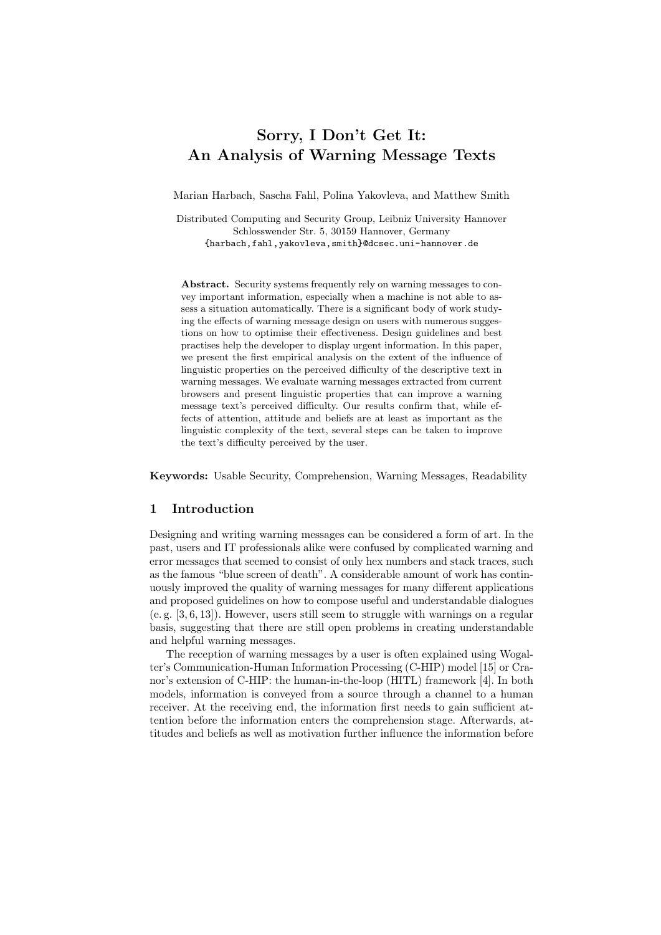# Sorry, I Don't Get It: An Analysis of Warning Message Texts

Marian Harbach, Sascha Fahl, Polina Yakovleva, and Matthew Smith

Distributed Computing and Security Group, Leibniz University Hannover Schlosswender Str. 5, 30159 Hannover, Germany {harbach,fahl,yakovleva,smith}@dcsec.uni-hannover.de

Abstract. Security systems frequently rely on warning messages to convey important information, especially when a machine is not able to assess a situation automatically. There is a significant body of work studying the effects of warning message design on users with numerous suggestions on how to optimise their effectiveness. Design guidelines and best practises help the developer to display urgent information. In this paper, we present the first empirical analysis on the extent of the influence of linguistic properties on the perceived difficulty of the descriptive text in warning messages. We evaluate warning messages extracted from current browsers and present linguistic properties that can improve a warning message text's perceived difficulty. Our results confirm that, while effects of attention, attitude and beliefs are at least as important as the linguistic complexity of the text, several steps can be taken to improve the text's difficulty perceived by the user.

Keywords: Usable Security, Comprehension, Warning Messages, Readability

# 1 Introduction

Designing and writing warning messages can be considered a form of art. In the past, users and IT professionals alike were confused by complicated warning and error messages that seemed to consist of only hex numbers and stack traces, such as the famous "blue screen of death". A considerable amount of work has continuously improved the quality of warning messages for many different applications and proposed guidelines on how to compose useful and understandable dialogues  $(e, g, [3, 6, 13])$ . However, users still seem to struggle with warnings on a regular basis, suggesting that there are still open problems in creating understandable and helpful warning messages.

The reception of warning messages by a user is often explained using Wogalter's Communication-Human Information Processing (C-HIP) model [15] or Cranor's extension of C-HIP: the human-in-the-loop (HITL) framework [4]. In both models, information is conveyed from a source through a channel to a human receiver. At the receiving end, the information first needs to gain sufficient attention before the information enters the comprehension stage. Afterwards, attitudes and beliefs as well as motivation further influence the information before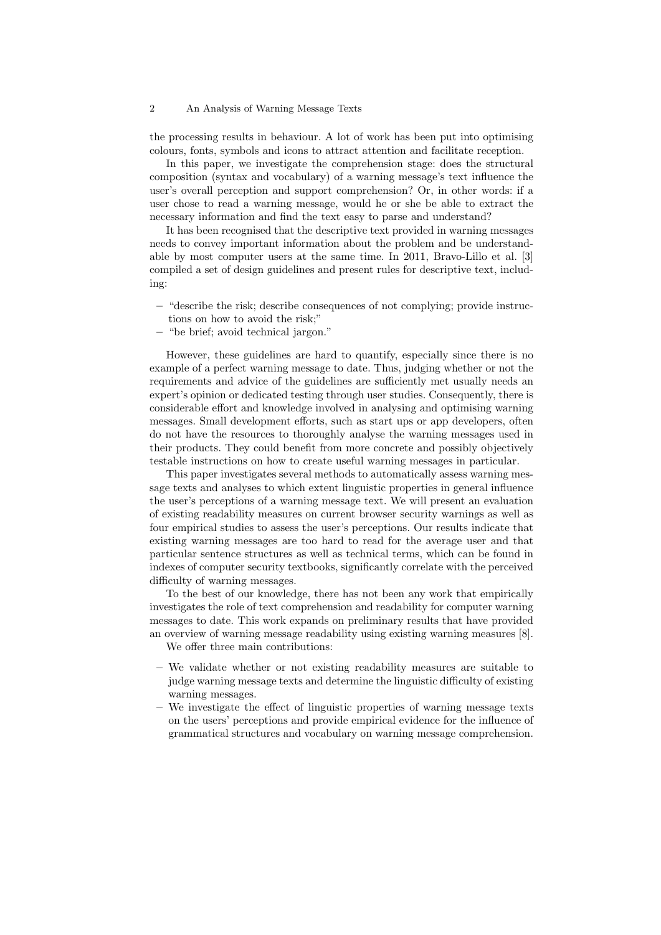the processing results in behaviour. A lot of work has been put into optimising colours, fonts, symbols and icons to attract attention and facilitate reception.

In this paper, we investigate the comprehension stage: does the structural composition (syntax and vocabulary) of a warning message's text influence the user's overall perception and support comprehension? Or, in other words: if a user chose to read a warning message, would he or she be able to extract the necessary information and find the text easy to parse and understand?

It has been recognised that the descriptive text provided in warning messages needs to convey important information about the problem and be understandable by most computer users at the same time. In 2011, Bravo-Lillo et al. [3] compiled a set of design guidelines and present rules for descriptive text, including:

- "describe the risk; describe consequences of not complying; provide instructions on how to avoid the risk;"
- "be brief; avoid technical jargon."

However, these guidelines are hard to quantify, especially since there is no example of a perfect warning message to date. Thus, judging whether or not the requirements and advice of the guidelines are sufficiently met usually needs an expert's opinion or dedicated testing through user studies. Consequently, there is considerable effort and knowledge involved in analysing and optimising warning messages. Small development efforts, such as start ups or app developers, often do not have the resources to thoroughly analyse the warning messages used in their products. They could benefit from more concrete and possibly objectively testable instructions on how to create useful warning messages in particular.

This paper investigates several methods to automatically assess warning message texts and analyses to which extent linguistic properties in general influence the user's perceptions of a warning message text. We will present an evaluation of existing readability measures on current browser security warnings as well as four empirical studies to assess the user's perceptions. Our results indicate that existing warning messages are too hard to read for the average user and that particular sentence structures as well as technical terms, which can be found in indexes of computer security textbooks, significantly correlate with the perceived difficulty of warning messages.

To the best of our knowledge, there has not been any work that empirically investigates the role of text comprehension and readability for computer warning messages to date. This work expands on preliminary results that have provided an overview of warning message readability using existing warning measures [8].

We offer three main contributions:

- We validate whether or not existing readability measures are suitable to judge warning message texts and determine the linguistic difficulty of existing warning messages.
- We investigate the effect of linguistic properties of warning message texts on the users' perceptions and provide empirical evidence for the influence of grammatical structures and vocabulary on warning message comprehension.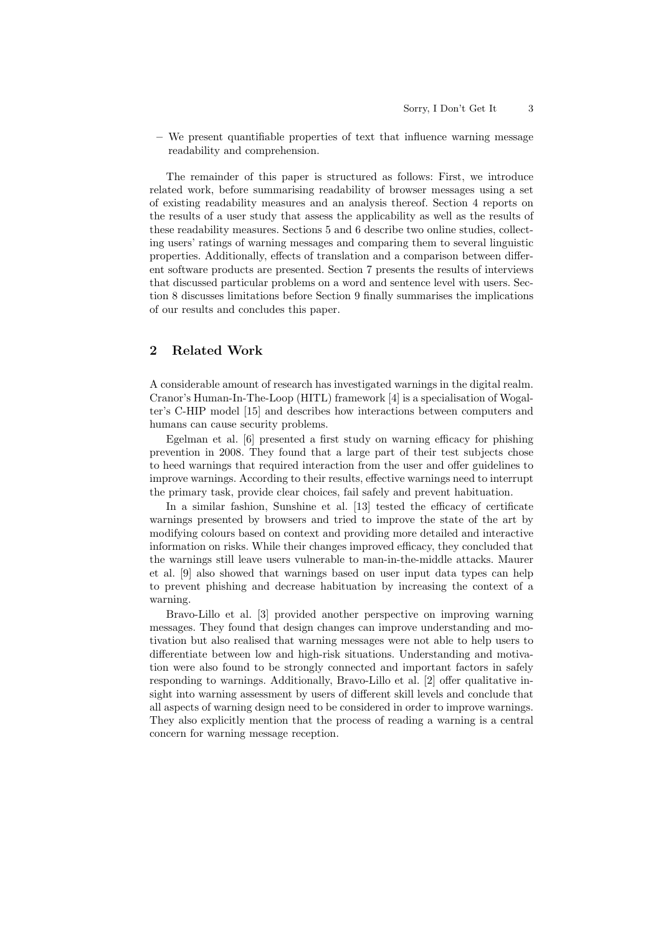– We present quantifiable properties of text that influence warning message readability and comprehension.

The remainder of this paper is structured as follows: First, we introduce related work, before summarising readability of browser messages using a set of existing readability measures and an analysis thereof. Section 4 reports on the results of a user study that assess the applicability as well as the results of these readability measures. Sections 5 and 6 describe two online studies, collecting users' ratings of warning messages and comparing them to several linguistic properties. Additionally, effects of translation and a comparison between different software products are presented. Section 7 presents the results of interviews that discussed particular problems on a word and sentence level with users. Section 8 discusses limitations before Section 9 finally summarises the implications of our results and concludes this paper.

## 2 Related Work

A considerable amount of research has investigated warnings in the digital realm. Cranor's Human-In-The-Loop (HITL) framework [4] is a specialisation of Wogalter's C-HIP model [15] and describes how interactions between computers and humans can cause security problems.

Egelman et al. [6] presented a first study on warning efficacy for phishing prevention in 2008. They found that a large part of their test subjects chose to heed warnings that required interaction from the user and offer guidelines to improve warnings. According to their results, effective warnings need to interrupt the primary task, provide clear choices, fail safely and prevent habituation.

In a similar fashion, Sunshine et al. [13] tested the efficacy of certificate warnings presented by browsers and tried to improve the state of the art by modifying colours based on context and providing more detailed and interactive information on risks. While their changes improved efficacy, they concluded that the warnings still leave users vulnerable to man-in-the-middle attacks. Maurer et al. [9] also showed that warnings based on user input data types can help to prevent phishing and decrease habituation by increasing the context of a warning.

Bravo-Lillo et al. [3] provided another perspective on improving warning messages. They found that design changes can improve understanding and motivation but also realised that warning messages were not able to help users to differentiate between low and high-risk situations. Understanding and motivation were also found to be strongly connected and important factors in safely responding to warnings. Additionally, Bravo-Lillo et al. [2] offer qualitative insight into warning assessment by users of different skill levels and conclude that all aspects of warning design need to be considered in order to improve warnings. They also explicitly mention that the process of reading a warning is a central concern for warning message reception.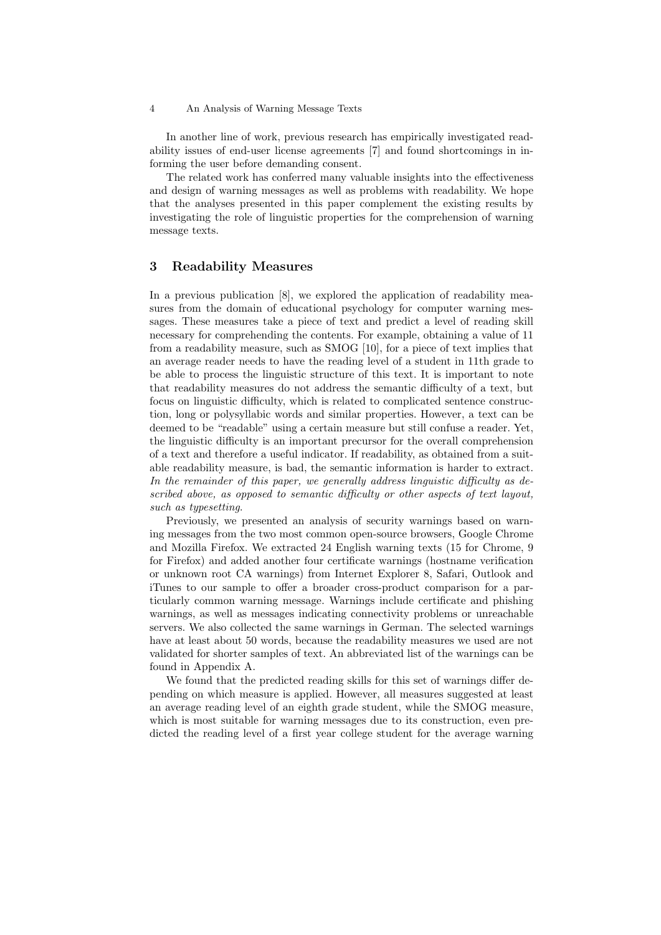In another line of work, previous research has empirically investigated readability issues of end-user license agreements [7] and found shortcomings in informing the user before demanding consent.

The related work has conferred many valuable insights into the effectiveness and design of warning messages as well as problems with readability. We hope that the analyses presented in this paper complement the existing results by investigating the role of linguistic properties for the comprehension of warning message texts.

## 3 Readability Measures

In a previous publication [8], we explored the application of readability measures from the domain of educational psychology for computer warning messages. These measures take a piece of text and predict a level of reading skill necessary for comprehending the contents. For example, obtaining a value of 11 from a readability measure, such as SMOG [10], for a piece of text implies that an average reader needs to have the reading level of a student in 11th grade to be able to process the linguistic structure of this text. It is important to note that readability measures do not address the semantic difficulty of a text, but focus on linguistic difficulty, which is related to complicated sentence construction, long or polysyllabic words and similar properties. However, a text can be deemed to be "readable" using a certain measure but still confuse a reader. Yet, the linguistic difficulty is an important precursor for the overall comprehension of a text and therefore a useful indicator. If readability, as obtained from a suitable readability measure, is bad, the semantic information is harder to extract. In the remainder of this paper, we generally address linguistic difficulty as described above, as opposed to semantic difficulty or other aspects of text layout, such as typesetting.

Previously, we presented an analysis of security warnings based on warning messages from the two most common open-source browsers, Google Chrome and Mozilla Firefox. We extracted 24 English warning texts (15 for Chrome, 9 for Firefox) and added another four certificate warnings (hostname verification or unknown root CA warnings) from Internet Explorer 8, Safari, Outlook and iTunes to our sample to offer a broader cross-product comparison for a particularly common warning message. Warnings include certificate and phishing warnings, as well as messages indicating connectivity problems or unreachable servers. We also collected the same warnings in German. The selected warnings have at least about 50 words, because the readability measures we used are not validated for shorter samples of text. An abbreviated list of the warnings can be found in Appendix A.

We found that the predicted reading skills for this set of warnings differ depending on which measure is applied. However, all measures suggested at least an average reading level of an eighth grade student, while the SMOG measure, which is most suitable for warning messages due to its construction, even predicted the reading level of a first year college student for the average warning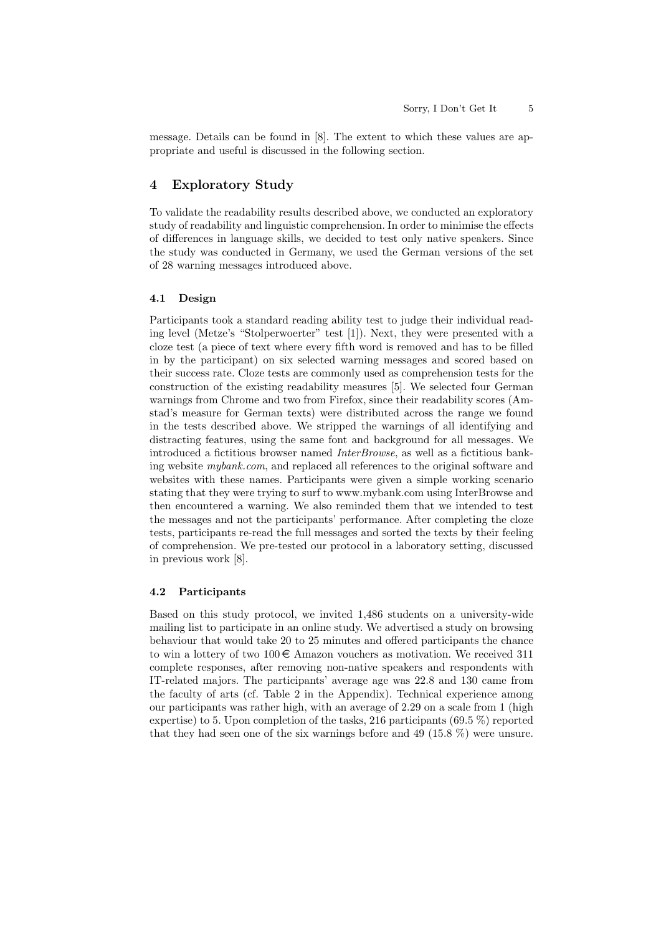message. Details can be found in [8]. The extent to which these values are appropriate and useful is discussed in the following section.

## 4 Exploratory Study

To validate the readability results described above, we conducted an exploratory study of readability and linguistic comprehension. In order to minimise the effects of differences in language skills, we decided to test only native speakers. Since the study was conducted in Germany, we used the German versions of the set of 28 warning messages introduced above.

#### 4.1 Design

Participants took a standard reading ability test to judge their individual reading level (Metze's "Stolperwoerter" test [1]). Next, they were presented with a cloze test (a piece of text where every fifth word is removed and has to be filled in by the participant) on six selected warning messages and scored based on their success rate. Cloze tests are commonly used as comprehension tests for the construction of the existing readability measures [5]. We selected four German warnings from Chrome and two from Firefox, since their readability scores (Amstad's measure for German texts) were distributed across the range we found in the tests described above. We stripped the warnings of all identifying and distracting features, using the same font and background for all messages. We introduced a fictitious browser named InterBrowse, as well as a fictitious banking website mybank.com, and replaced all references to the original software and websites with these names. Participants were given a simple working scenario stating that they were trying to surf to www.mybank.com using InterBrowse and then encountered a warning. We also reminded them that we intended to test the messages and not the participants' performance. After completing the cloze tests, participants re-read the full messages and sorted the texts by their feeling of comprehension. We pre-tested our protocol in a laboratory setting, discussed in previous work [8].

### 4.2 Participants

Based on this study protocol, we invited 1,486 students on a university-wide mailing list to participate in an online study. We advertised a study on browsing behaviour that would take 20 to 25 minutes and offered participants the chance to win a lottery of two  $100 \in \text{Amazon}$  vouchers as motivation. We received 311 complete responses, after removing non-native speakers and respondents with IT-related majors. The participants' average age was 22.8 and 130 came from the faculty of arts (cf. Table 2 in the Appendix). Technical experience among our participants was rather high, with an average of 2.29 on a scale from 1 (high expertise) to 5. Upon completion of the tasks, 216 participants (69.5 %) reported that they had seen one of the six warnings before and 49 (15.8 %) were unsure.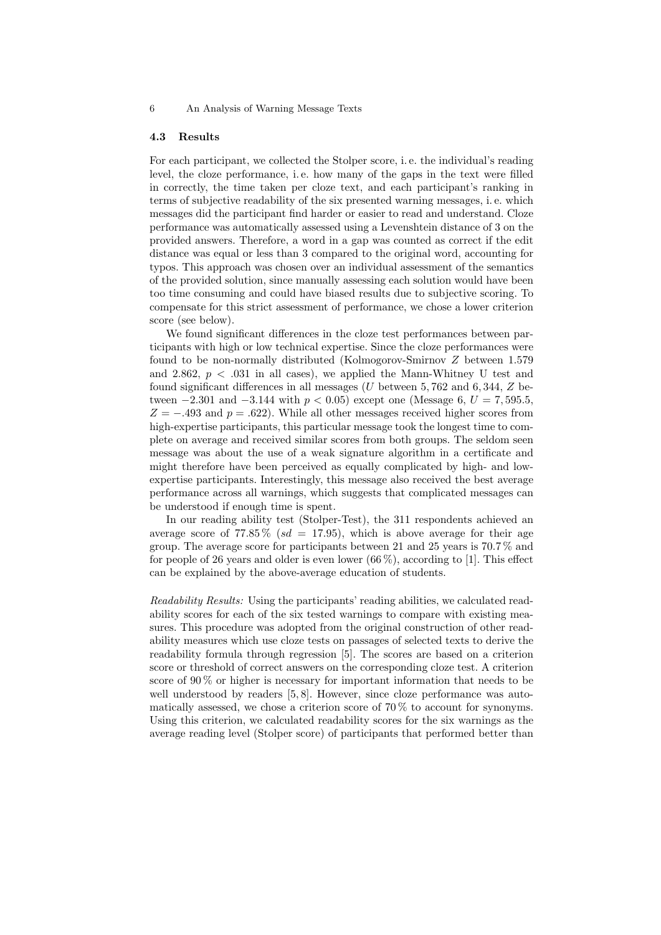#### 4.3 Results

For each participant, we collected the Stolper score, i. e. the individual's reading level, the cloze performance, i. e. how many of the gaps in the text were filled in correctly, the time taken per cloze text, and each participant's ranking in terms of subjective readability of the six presented warning messages, i. e. which messages did the participant find harder or easier to read and understand. Cloze performance was automatically assessed using a Levenshtein distance of 3 on the provided answers. Therefore, a word in a gap was counted as correct if the edit distance was equal or less than 3 compared to the original word, accounting for typos. This approach was chosen over an individual assessment of the semantics of the provided solution, since manually assessing each solution would have been too time consuming and could have biased results due to subjective scoring. To compensate for this strict assessment of performance, we chose a lower criterion score (see below).

We found significant differences in the cloze test performances between participants with high or low technical expertise. Since the cloze performances were found to be non-normally distributed (Kolmogorov-Smirnov Z between 1.579 and 2.862,  $p < .031$  in all cases), we applied the Mann-Whitney U test and found significant differences in all messages  $(U$  between 5,762 and 6,344,  $Z$  between  $-2.301$  and  $-3.144$  with  $p < 0.05$ ) except one (Message 6,  $U = 7,595.5$ ,  $Z = -0.493$  and  $p = 0.622$ . While all other messages received higher scores from high-expertise participants, this particular message took the longest time to complete on average and received similar scores from both groups. The seldom seen message was about the use of a weak signature algorithm in a certificate and might therefore have been perceived as equally complicated by high- and lowexpertise participants. Interestingly, this message also received the best average performance across all warnings, which suggests that complicated messages can be understood if enough time is spent.

In our reading ability test (Stolper-Test), the 311 respondents achieved an average score of 77.85 % ( $sd = 17.95$ ), which is above average for their age group. The average score for participants between 21 and 25 years is 70.7 % and for people of 26 years and older is even lower  $(66\%)$ , according to [1]. This effect can be explained by the above-average education of students.

Readability Results: Using the participants' reading abilities, we calculated readability scores for each of the six tested warnings to compare with existing measures. This procedure was adopted from the original construction of other readability measures which use cloze tests on passages of selected texts to derive the readability formula through regression [5]. The scores are based on a criterion score or threshold of correct answers on the corresponding cloze test. A criterion score of 90% or higher is necessary for important information that needs to be well understood by readers [5,8]. However, since cloze performance was automatically assessed, we chose a criterion score of 70 % to account for synonyms. Using this criterion, we calculated readability scores for the six warnings as the average reading level (Stolper score) of participants that performed better than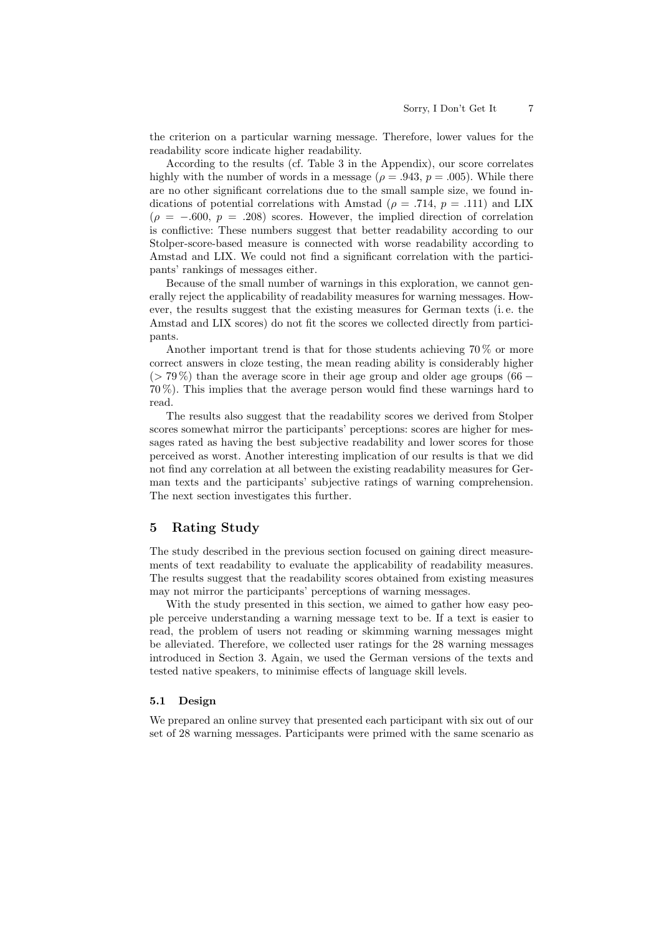the criterion on a particular warning message. Therefore, lower values for the readability score indicate higher readability.

According to the results (cf. Table 3 in the Appendix), our score correlates highly with the number of words in a message ( $\rho = .943$ ,  $p = .005$ ). While there are no other significant correlations due to the small sample size, we found indications of potential correlations with Amstad ( $\rho = .714$ ,  $p = .111$ ) and LIX  $(\rho = -.600, p = .208)$  scores. However, the implied direction of correlation is conflictive: These numbers suggest that better readability according to our Stolper-score-based measure is connected with worse readability according to Amstad and LIX. We could not find a significant correlation with the participants' rankings of messages either.

Because of the small number of warnings in this exploration, we cannot generally reject the applicability of readability measures for warning messages. However, the results suggest that the existing measures for German texts (i. e. the Amstad and LIX scores) do not fit the scores we collected directly from participants.

Another important trend is that for those students achieving  $70\%$  or more correct answers in cloze testing, the mean reading ability is considerably higher  $($  > 79 %) than the average score in their age group and older age groups (66  $-$ 70 %). This implies that the average person would find these warnings hard to read.

The results also suggest that the readability scores we derived from Stolper scores somewhat mirror the participants' perceptions: scores are higher for messages rated as having the best subjective readability and lower scores for those perceived as worst. Another interesting implication of our results is that we did not find any correlation at all between the existing readability measures for German texts and the participants' subjective ratings of warning comprehension. The next section investigates this further.

# 5 Rating Study

The study described in the previous section focused on gaining direct measurements of text readability to evaluate the applicability of readability measures. The results suggest that the readability scores obtained from existing measures may not mirror the participants' perceptions of warning messages.

With the study presented in this section, we aimed to gather how easy people perceive understanding a warning message text to be. If a text is easier to read, the problem of users not reading or skimming warning messages might be alleviated. Therefore, we collected user ratings for the 28 warning messages introduced in Section 3. Again, we used the German versions of the texts and tested native speakers, to minimise effects of language skill levels.

#### 5.1 Design

We prepared an online survey that presented each participant with six out of our set of 28 warning messages. Participants were primed with the same scenario as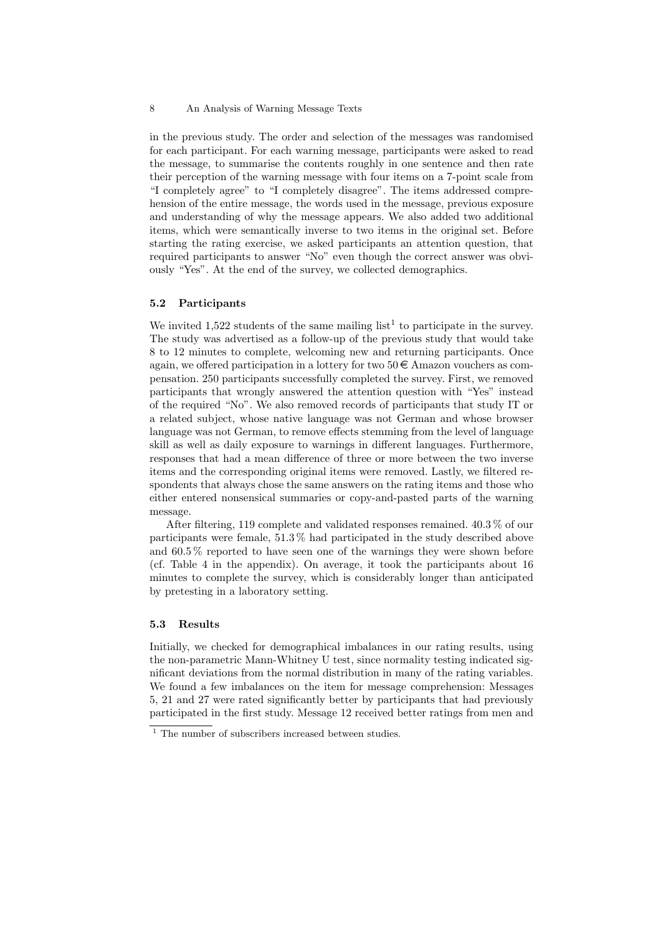in the previous study. The order and selection of the messages was randomised for each participant. For each warning message, participants were asked to read the message, to summarise the contents roughly in one sentence and then rate their perception of the warning message with four items on a 7-point scale from "I completely agree" to "I completely disagree". The items addressed comprehension of the entire message, the words used in the message, previous exposure and understanding of why the message appears. We also added two additional items, which were semantically inverse to two items in the original set. Before starting the rating exercise, we asked participants an attention question, that required participants to answer "No" even though the correct answer was obviously "Yes". At the end of the survey, we collected demographics.

#### 5.2 Participants

We invited  $1,522$  students of the same mailing list<sup>1</sup> to participate in the survey. The study was advertised as a follow-up of the previous study that would take 8 to 12 minutes to complete, welcoming new and returning participants. Once again, we offered participation in a lottery for two  $50 \in \text{Amazon}$  vouchers as compensation. 250 participants successfully completed the survey. First, we removed participants that wrongly answered the attention question with "Yes" instead of the required "No". We also removed records of participants that study IT or a related subject, whose native language was not German and whose browser language was not German, to remove effects stemming from the level of language skill as well as daily exposure to warnings in different languages. Furthermore, responses that had a mean difference of three or more between the two inverse items and the corresponding original items were removed. Lastly, we filtered respondents that always chose the same answers on the rating items and those who either entered nonsensical summaries or copy-and-pasted parts of the warning message.

After filtering, 119 complete and validated responses remained. 40.3 % of our participants were female, 51.3 % had participated in the study described above and 60.5 % reported to have seen one of the warnings they were shown before (cf. Table 4 in the appendix). On average, it took the participants about 16 minutes to complete the survey, which is considerably longer than anticipated by pretesting in a laboratory setting.

## 5.3 Results

Initially, we checked for demographical imbalances in our rating results, using the non-parametric Mann-Whitney U test, since normality testing indicated significant deviations from the normal distribution in many of the rating variables. We found a few imbalances on the item for message comprehension: Messages 5, 21 and 27 were rated significantly better by participants that had previously participated in the first study. Message 12 received better ratings from men and

 $^{\mathrm{1}}$  The number of subscribers increased between studies.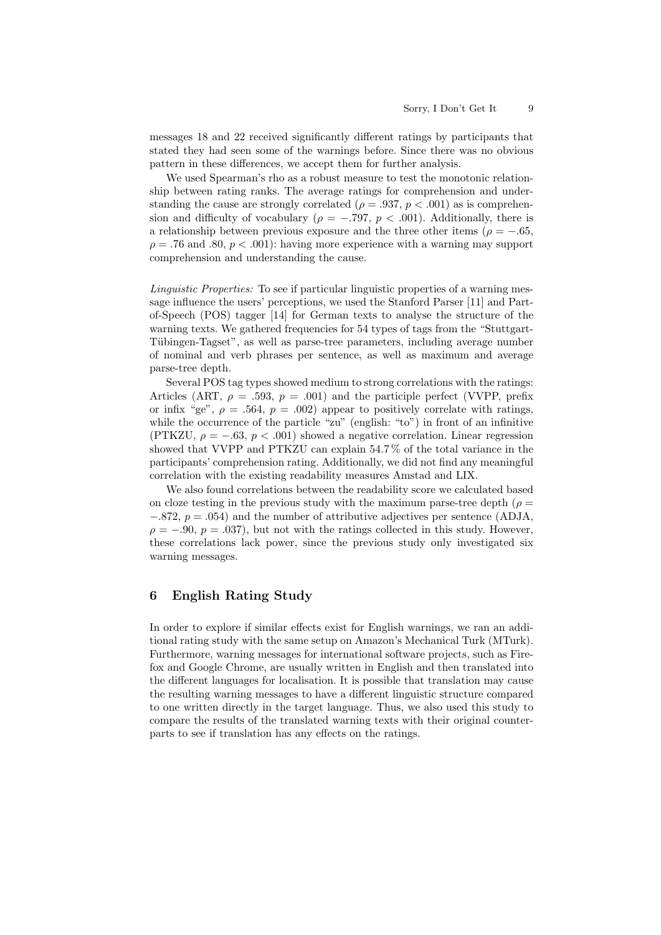messages 18 and 22 received significantly different ratings by participants that stated they had seen some of the warnings before. Since there was no obvious pattern in these differences, we accept them for further analysis.

We used Spearman's rho as a robust measure to test the monotonic relationship between rating ranks. The average ratings for comprehension and understanding the cause are strongly correlated ( $\rho = .937, p < .001$ ) as is comprehension and difficulty of vocabulary ( $\rho = -.797, p < .001$ ). Additionally, there is a relationship between previous exposure and the three other items ( $\rho = -.65$ ,  $\rho = .76$  and  $.80, p < .001$ : having more experience with a warning may support comprehension and understanding the cause.

Linguistic Properties: To see if particular linguistic properties of a warning message influence the users' perceptions, we used the Stanford Parser [11] and Partof-Speech (POS) tagger [14] for German texts to analyse the structure of the warning texts. We gathered frequencies for 54 types of tags from the "Stuttgart-Tübingen-Tagset", as well as parse-tree parameters, including average number of nominal and verb phrases per sentence, as well as maximum and average parse-tree depth.

Several POS tag types showed medium to strong correlations with the ratings: Articles (ART,  $\rho = .593$ ,  $p = .001$ ) and the participle perfect (VVPP, prefix or infix "ge",  $\rho = .564$ ,  $p = .002$ ) appear to positively correlate with ratings, while the occurrence of the particle "zu" (english: "to") in front of an infinitive (PTKZU,  $\rho = -.63$ ,  $p < .001$ ) showed a negative correlation. Linear regression showed that VVPP and PTKZU can explain 54.7 % of the total variance in the participants' comprehension rating. Additionally, we did not find any meaningful correlation with the existing readability measures Amstad and LIX.

We also found correlations between the readability score we calculated based on cloze testing in the previous study with the maximum parse-tree depth ( $\rho =$ −.872, p = .054) and the number of attributive adjectives per sentence (ADJA,  $\rho = -.90, p = .037$ , but not with the ratings collected in this study. However, these correlations lack power, since the previous study only investigated six warning messages.

## 6 English Rating Study

In order to explore if similar effects exist for English warnings, we ran an additional rating study with the same setup on Amazon's Mechanical Turk (MTurk). Furthermore, warning messages for international software projects, such as Firefox and Google Chrome, are usually written in English and then translated into the different languages for localisation. It is possible that translation may cause the resulting warning messages to have a different linguistic structure compared to one written directly in the target language. Thus, we also used this study to compare the results of the translated warning texts with their original counterparts to see if translation has any effects on the ratings.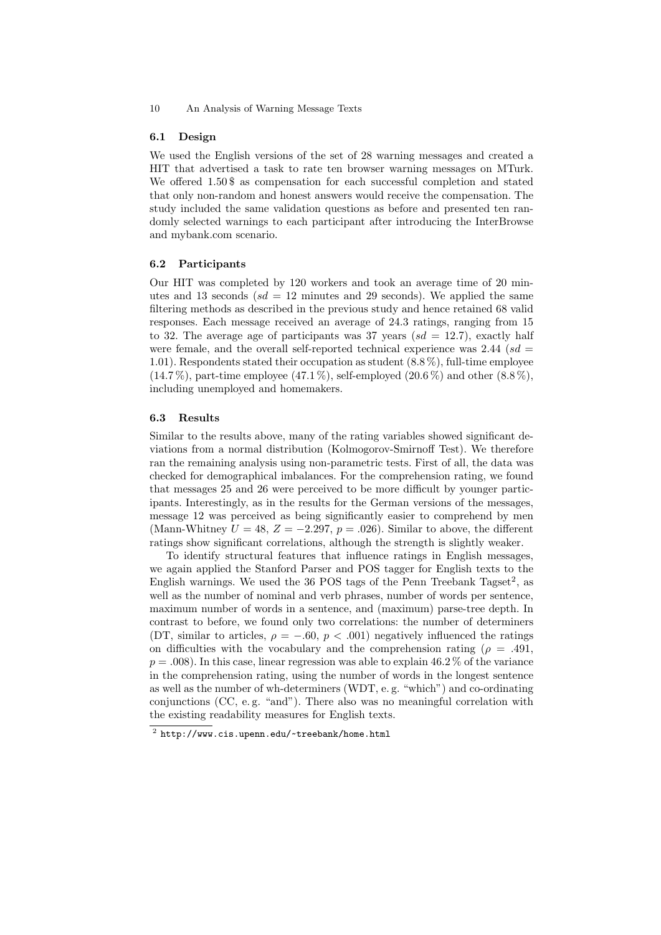#### 6.1 Design

We used the English versions of the set of 28 warning messages and created a HIT that advertised a task to rate ten browser warning messages on MTurk. We offered  $1.50$  \$ as compensation for each successful completion and stated that only non-random and honest answers would receive the compensation. The study included the same validation questions as before and presented ten randomly selected warnings to each participant after introducing the InterBrowse and mybank.com scenario.

#### 6.2 Participants

Our HIT was completed by 120 workers and took an average time of 20 minutes and 13 seconds ( $sd = 12$  minutes and 29 seconds). We applied the same filtering methods as described in the previous study and hence retained 68 valid responses. Each message received an average of 24.3 ratings, ranging from 15 to 32. The average age of participants was 37 years ( $sd = 12.7$ ), exactly half were female, and the overall self-reported technical experience was 2.44 ( $sd =$ 1.01). Respondents stated their occupation as student (8.8 %), full-time employee  $(14.7\%)$ , part-time employee  $(47.1\%)$ , self-employed  $(20.6\%)$  and other  $(8.8\%)$ , including unemployed and homemakers.

## 6.3 Results

Similar to the results above, many of the rating variables showed significant deviations from a normal distribution (Kolmogorov-Smirnoff Test). We therefore ran the remaining analysis using non-parametric tests. First of all, the data was checked for demographical imbalances. For the comprehension rating, we found that messages 25 and 26 were perceived to be more difficult by younger participants. Interestingly, as in the results for the German versions of the messages, message 12 was perceived as being significantly easier to comprehend by men (Mann-Whitney  $U = 48$ ,  $Z = -2.297$ ,  $p = .026$ ). Similar to above, the different ratings show significant correlations, although the strength is slightly weaker.

To identify structural features that influence ratings in English messages, we again applied the Stanford Parser and POS tagger for English texts to the English warnings. We used the  $36$  POS tags of the Penn Treebank Tagset<sup>2</sup>, as well as the number of nominal and verb phrases, number of words per sentence, maximum number of words in a sentence, and (maximum) parse-tree depth. In contrast to before, we found only two correlations: the number of determiners (DT, similar to articles,  $\rho = -.60, p < .001$ ) negatively influenced the ratings on difficulties with the vocabulary and the comprehension rating ( $\rho = .491$ ,  $p = .008$ ). In this case, linear regression was able to explain 46.2 % of the variance in the comprehension rating, using the number of words in the longest sentence as well as the number of wh-determiners (WDT, e. g. "which") and co-ordinating conjunctions (CC, e. g. "and"). There also was no meaningful correlation with the existing readability measures for English texts.

 $^2$  http://www.cis.upenn.edu/~treebank/home.html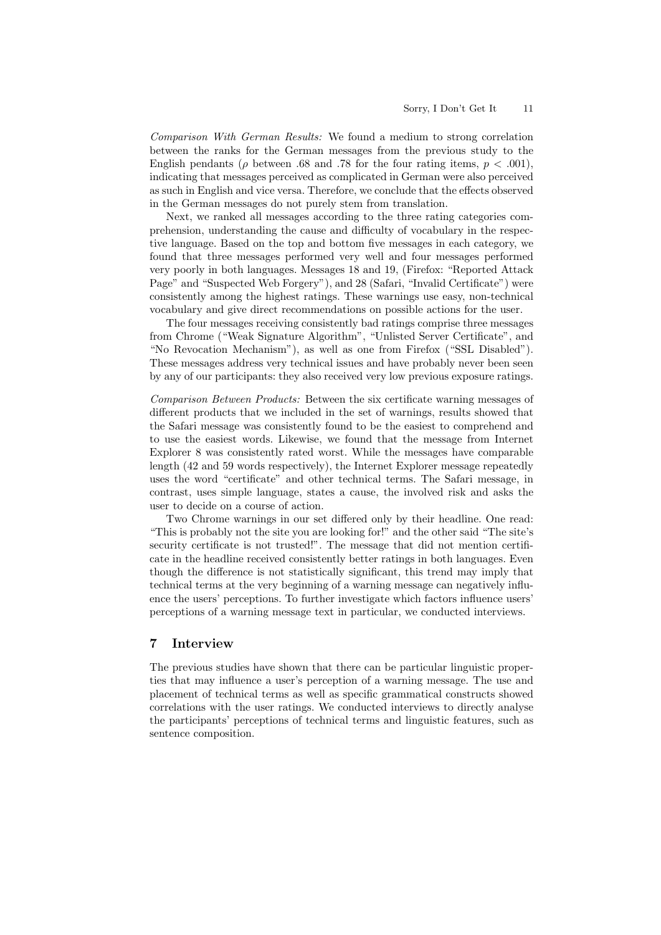Comparison With German Results: We found a medium to strong correlation between the ranks for the German messages from the previous study to the English pendants ( $\rho$  between .68 and .78 for the four rating items,  $p < .001$ ), indicating that messages perceived as complicated in German were also perceived as such in English and vice versa. Therefore, we conclude that the effects observed in the German messages do not purely stem from translation.

Next, we ranked all messages according to the three rating categories comprehension, understanding the cause and difficulty of vocabulary in the respective language. Based on the top and bottom five messages in each category, we found that three messages performed very well and four messages performed very poorly in both languages. Messages 18 and 19, (Firefox: "Reported Attack Page" and "Suspected Web Forgery"), and 28 (Safari, "Invalid Certificate") were consistently among the highest ratings. These warnings use easy, non-technical vocabulary and give direct recommendations on possible actions for the user.

The four messages receiving consistently bad ratings comprise three messages from Chrome ("Weak Signature Algorithm", "Unlisted Server Certificate", and "No Revocation Mechanism"), as well as one from Firefox ("SSL Disabled"). These messages address very technical issues and have probably never been seen by any of our participants: they also received very low previous exposure ratings.

Comparison Between Products: Between the six certificate warning messages of different products that we included in the set of warnings, results showed that the Safari message was consistently found to be the easiest to comprehend and to use the easiest words. Likewise, we found that the message from Internet Explorer 8 was consistently rated worst. While the messages have comparable length (42 and 59 words respectively), the Internet Explorer message repeatedly uses the word "certificate" and other technical terms. The Safari message, in contrast, uses simple language, states a cause, the involved risk and asks the user to decide on a course of action.

Two Chrome warnings in our set differed only by their headline. One read: "This is probably not the site you are looking for!" and the other said "The site's security certificate is not trusted!". The message that did not mention certificate in the headline received consistently better ratings in both languages. Even though the difference is not statistically significant, this trend may imply that technical terms at the very beginning of a warning message can negatively influence the users' perceptions. To further investigate which factors influence users' perceptions of a warning message text in particular, we conducted interviews.

## 7 Interview

The previous studies have shown that there can be particular linguistic properties that may influence a user's perception of a warning message. The use and placement of technical terms as well as specific grammatical constructs showed correlations with the user ratings. We conducted interviews to directly analyse the participants' perceptions of technical terms and linguistic features, such as sentence composition.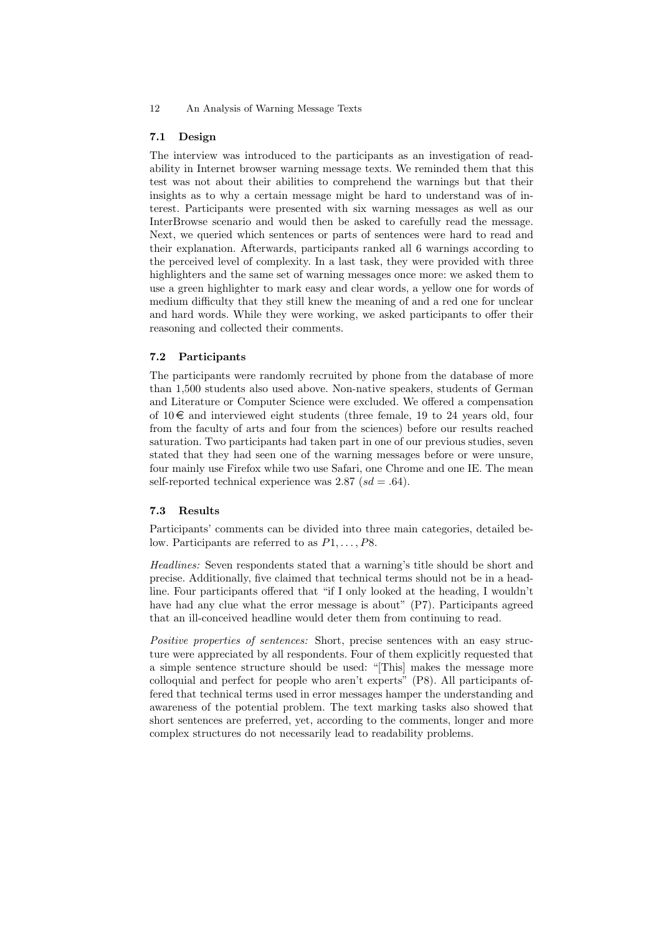### 7.1 Design

The interview was introduced to the participants as an investigation of readability in Internet browser warning message texts. We reminded them that this test was not about their abilities to comprehend the warnings but that their insights as to why a certain message might be hard to understand was of interest. Participants were presented with six warning messages as well as our InterBrowse scenario and would then be asked to carefully read the message. Next, we queried which sentences or parts of sentences were hard to read and their explanation. Afterwards, participants ranked all 6 warnings according to the perceived level of complexity. In a last task, they were provided with three highlighters and the same set of warning messages once more: we asked them to use a green highlighter to mark easy and clear words, a yellow one for words of medium difficulty that they still knew the meaning of and a red one for unclear and hard words. While they were working, we asked participants to offer their reasoning and collected their comments.

#### 7.2 Participants

The participants were randomly recruited by phone from the database of more than 1,500 students also used above. Non-native speakers, students of German and Literature or Computer Science were excluded. We offered a compensation of  $10 \in \mathbb{R}$  and interviewed eight students (three female, 19 to 24 years old, four from the faculty of arts and four from the sciences) before our results reached saturation. Two participants had taken part in one of our previous studies, seven stated that they had seen one of the warning messages before or were unsure, four mainly use Firefox while two use Safari, one Chrome and one IE. The mean self-reported technical experience was 2.87 ( $sd = .64$ ).

#### 7.3 Results

Participants' comments can be divided into three main categories, detailed below. Participants are referred to as  $P1, \ldots, P8$ .

Headlines: Seven respondents stated that a warning's title should be short and precise. Additionally, five claimed that technical terms should not be in a headline. Four participants offered that "if I only looked at the heading, I wouldn't have had any clue what the error message is about" (P7). Participants agreed that an ill-conceived headline would deter them from continuing to read.

Positive properties of sentences: Short, precise sentences with an easy structure were appreciated by all respondents. Four of them explicitly requested that a simple sentence structure should be used: "[This] makes the message more colloquial and perfect for people who aren't experts" (P8). All participants offered that technical terms used in error messages hamper the understanding and awareness of the potential problem. The text marking tasks also showed that short sentences are preferred, yet, according to the comments, longer and more complex structures do not necessarily lead to readability problems.

<sup>12</sup> An Analysis of Warning Message Texts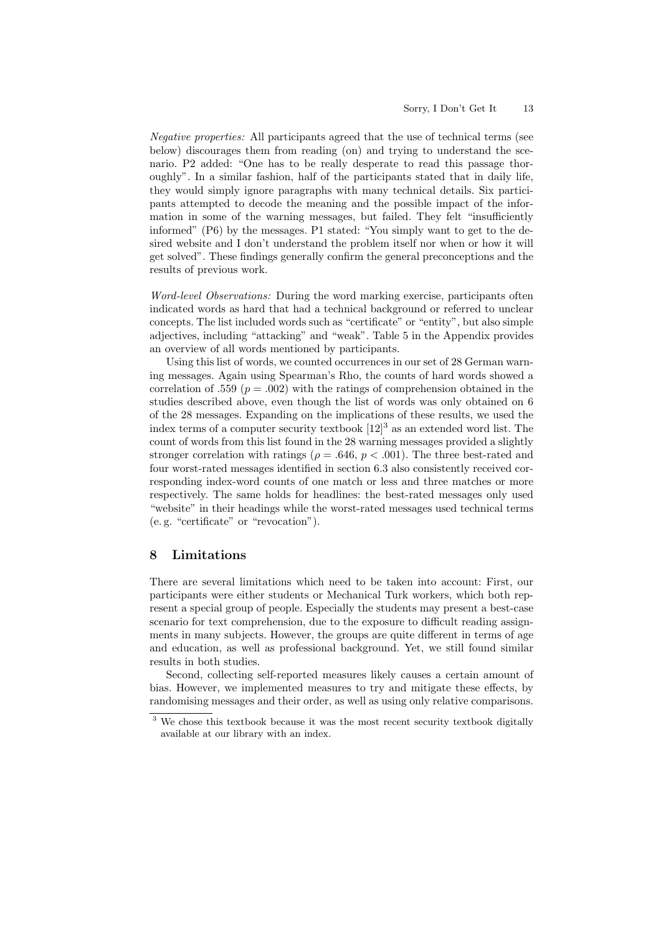Negative properties: All participants agreed that the use of technical terms (see below) discourages them from reading (on) and trying to understand the scenario. P2 added: "One has to be really desperate to read this passage thoroughly". In a similar fashion, half of the participants stated that in daily life, they would simply ignore paragraphs with many technical details. Six participants attempted to decode the meaning and the possible impact of the information in some of the warning messages, but failed. They felt "insufficiently informed" (P6) by the messages. P1 stated: "You simply want to get to the desired website and I don't understand the problem itself nor when or how it will get solved". These findings generally confirm the general preconceptions and the results of previous work.

Word-level Observations: During the word marking exercise, participants often indicated words as hard that had a technical background or referred to unclear concepts. The list included words such as "certificate" or "entity", but also simple adjectives, including "attacking" and "weak". Table 5 in the Appendix provides an overview of all words mentioned by participants.

Using this list of words, we counted occurrences in our set of 28 German warning messages. Again using Spearman's Rho, the counts of hard words showed a correlation of .559 ( $p = .002$ ) with the ratings of comprehension obtained in the studies described above, even though the list of words was only obtained on 6 of the 28 messages. Expanding on the implications of these results, we used the index terms of a computer security textbook  $[12]$ <sup>3</sup> as an extended word list. The count of words from this list found in the 28 warning messages provided a slightly stronger correlation with ratings ( $\rho = .646$ ,  $p < .001$ ). The three best-rated and four worst-rated messages identified in section 6.3 also consistently received corresponding index-word counts of one match or less and three matches or more respectively. The same holds for headlines: the best-rated messages only used "website" in their headings while the worst-rated messages used technical terms (e. g. "certificate" or "revocation").

## 8 Limitations

There are several limitations which need to be taken into account: First, our participants were either students or Mechanical Turk workers, which both represent a special group of people. Especially the students may present a best-case scenario for text comprehension, due to the exposure to difficult reading assignments in many subjects. However, the groups are quite different in terms of age and education, as well as professional background. Yet, we still found similar results in both studies.

Second, collecting self-reported measures likely causes a certain amount of bias. However, we implemented measures to try and mitigate these effects, by randomising messages and their order, as well as using only relative comparisons.

 $3$  We chose this textbook because it was the most recent security textbook digitally available at our library with an index.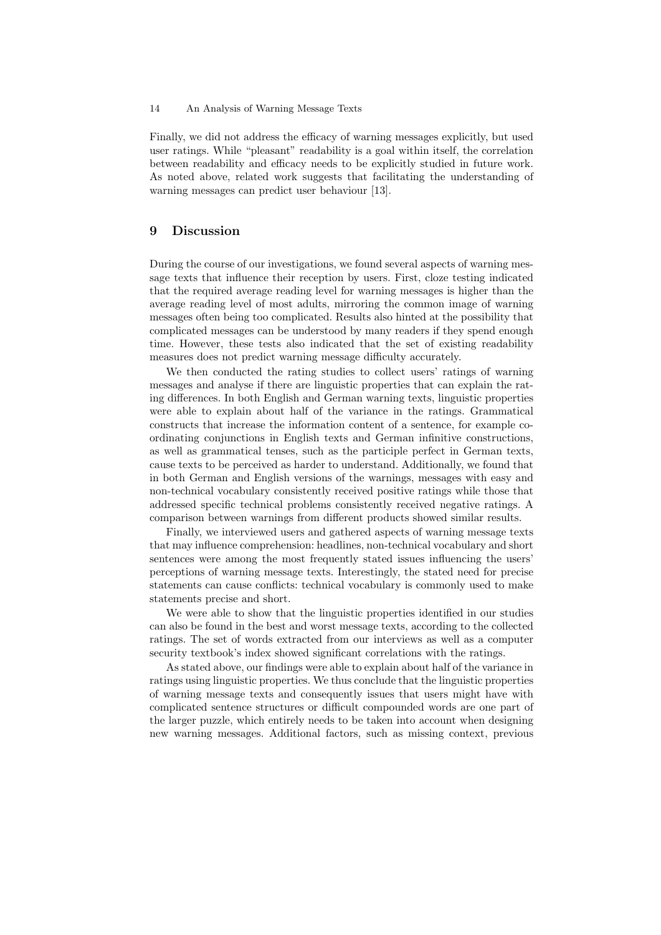Finally, we did not address the efficacy of warning messages explicitly, but used user ratings. While "pleasant" readability is a goal within itself, the correlation between readability and efficacy needs to be explicitly studied in future work. As noted above, related work suggests that facilitating the understanding of warning messages can predict user behaviour [13].

# 9 Discussion

During the course of our investigations, we found several aspects of warning message texts that influence their reception by users. First, cloze testing indicated that the required average reading level for warning messages is higher than the average reading level of most adults, mirroring the common image of warning messages often being too complicated. Results also hinted at the possibility that complicated messages can be understood by many readers if they spend enough time. However, these tests also indicated that the set of existing readability measures does not predict warning message difficulty accurately.

We then conducted the rating studies to collect users' ratings of warning messages and analyse if there are linguistic properties that can explain the rating differences. In both English and German warning texts, linguistic properties were able to explain about half of the variance in the ratings. Grammatical constructs that increase the information content of a sentence, for example coordinating conjunctions in English texts and German infinitive constructions, as well as grammatical tenses, such as the participle perfect in German texts, cause texts to be perceived as harder to understand. Additionally, we found that in both German and English versions of the warnings, messages with easy and non-technical vocabulary consistently received positive ratings while those that addressed specific technical problems consistently received negative ratings. A comparison between warnings from different products showed similar results.

Finally, we interviewed users and gathered aspects of warning message texts that may influence comprehension: headlines, non-technical vocabulary and short sentences were among the most frequently stated issues influencing the users' perceptions of warning message texts. Interestingly, the stated need for precise statements can cause conflicts: technical vocabulary is commonly used to make statements precise and short.

We were able to show that the linguistic properties identified in our studies can also be found in the best and worst message texts, according to the collected ratings. The set of words extracted from our interviews as well as a computer security textbook's index showed significant correlations with the ratings.

As stated above, our findings were able to explain about half of the variance in ratings using linguistic properties. We thus conclude that the linguistic properties of warning message texts and consequently issues that users might have with complicated sentence structures or difficult compounded words are one part of the larger puzzle, which entirely needs to be taken into account when designing new warning messages. Additional factors, such as missing context, previous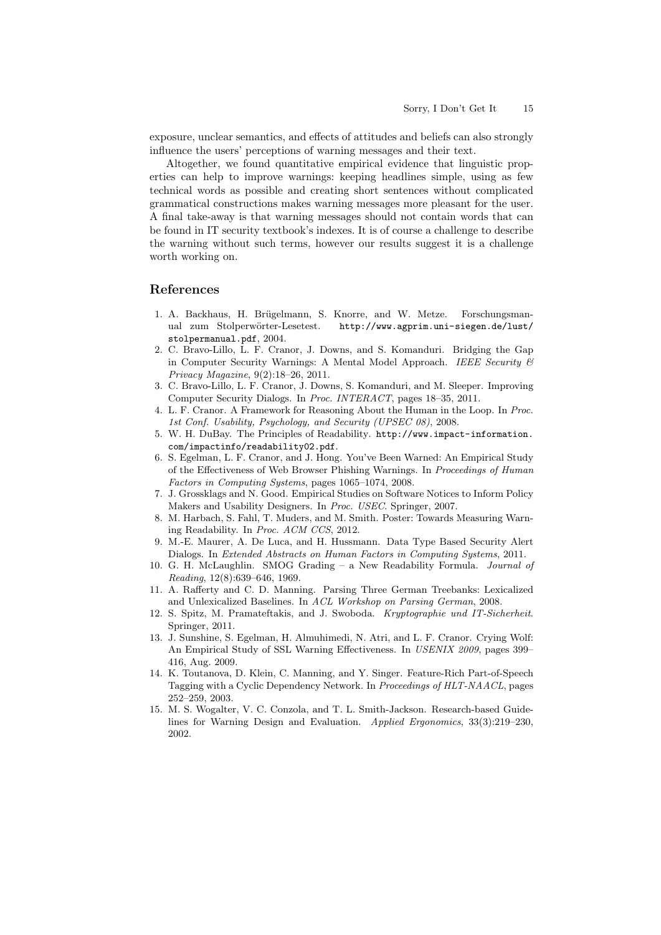exposure, unclear semantics, and effects of attitudes and beliefs can also strongly influence the users' perceptions of warning messages and their text.

Altogether, we found quantitative empirical evidence that linguistic properties can help to improve warnings: keeping headlines simple, using as few technical words as possible and creating short sentences without complicated grammatical constructions makes warning messages more pleasant for the user. A final take-away is that warning messages should not contain words that can be found in IT security textbook's indexes. It is of course a challenge to describe the warning without such terms, however our results suggest it is a challenge worth working on.

## References

- 1. A. Backhaus, H. Brügelmann, S. Knorre, and W. Metze. Forschungsmanual zum Stolperwörter-Lesetest. http://www.agprim.uni-siegen.de/lust/ stolpermanual.pdf, 2004.
- 2. C. Bravo-Lillo, L. F. Cranor, J. Downs, and S. Komanduri. Bridging the Gap in Computer Security Warnings: A Mental Model Approach. IEEE Security  $\mathscr B$ Privacy Magazine, 9(2):18–26, 2011.
- 3. C. Bravo-Lillo, L. F. Cranor, J. Downs, S. Komanduri, and M. Sleeper. Improving Computer Security Dialogs. In Proc. INTERACT, pages 18–35, 2011.
- 4. L. F. Cranor. A Framework for Reasoning About the Human in the Loop. In Proc. 1st Conf. Usability, Psychology, and Security (UPSEC 08), 2008.
- 5. W. H. DuBay. The Principles of Readability. http://www.impact-information. com/impactinfo/readability02.pdf.
- 6. S. Egelman, L. F. Cranor, and J. Hong. You've Been Warned: An Empirical Study of the Effectiveness of Web Browser Phishing Warnings. In Proceedings of Human Factors in Computing Systems, pages 1065–1074, 2008.
- 7. J. Grossklags and N. Good. Empirical Studies on Software Notices to Inform Policy Makers and Usability Designers. In Proc. USEC. Springer, 2007.
- 8. M. Harbach, S. Fahl, T. Muders, and M. Smith. Poster: Towards Measuring Warning Readability. In Proc. ACM CCS, 2012.
- 9. M.-E. Maurer, A. De Luca, and H. Hussmann. Data Type Based Security Alert Dialogs. In Extended Abstracts on Human Factors in Computing Systems, 2011.
- 10. G. H. McLaughlin. SMOG Grading a New Readability Formula. Journal of Reading, 12(8):639–646, 1969.
- 11. A. Rafferty and C. D. Manning. Parsing Three German Treebanks: Lexicalized and Unlexicalized Baselines. In ACL Workshop on Parsing German, 2008.
- 12. S. Spitz, M. Pramateftakis, and J. Swoboda. Kryptographie und IT-Sicherheit. Springer, 2011.
- 13. J. Sunshine, S. Egelman, H. Almuhimedi, N. Atri, and L. F. Cranor. Crying Wolf: An Empirical Study of SSL Warning Effectiveness. In USENIX 2009, pages 399– 416, Aug. 2009.
- 14. K. Toutanova, D. Klein, C. Manning, and Y. Singer. Feature-Rich Part-of-Speech Tagging with a Cyclic Dependency Network. In Proceedings of HLT-NAACL, pages 252–259, 2003.
- 15. M. S. Wogalter, V. C. Conzola, and T. L. Smith-Jackson. Research-based Guidelines for Warning Design and Evaluation. Applied Ergonomics, 33(3):219–230, 2002.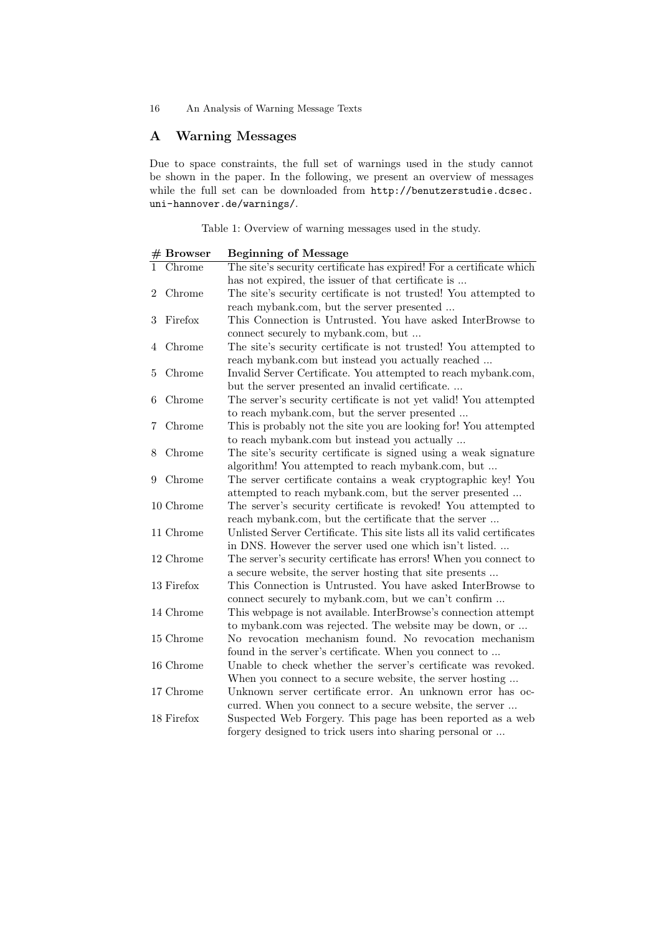# A Warning Messages

Due to space constraints, the full set of warnings used in the study cannot be shown in the paper. In the following, we present an overview of messages while the full set can be downloaded from http://benutzerstudie.dcsec. uni-hannover.de/warnings/.

Table 1: Overview of warning messages used in the study.

|              | $#$ Browser                | <b>Beginning of Message</b>                                             |
|--------------|----------------------------|-------------------------------------------------------------------------|
| $\mathbf{1}$ | $\overline{\text{Chrome}}$ | The site's security certificate has expired! For a certificate which    |
|              |                            | has not expired, the issuer of that certificate is                      |
| 2            | Chrome                     | The site's security certificate is not trusted! You attempted to        |
|              |                            | reach mybank.com, but the server presented                              |
| 3            | Firefox                    | This Connection is Untrusted. You have asked InterBrowse to             |
|              |                            | connect securely to mybank.com, but                                     |
| 4            | Chrome                     | The site's security certificate is not trusted! You attempted to        |
|              |                            | reach mybank.com but instead you actually reached                       |
| 5            | Chrome                     | Invalid Server Certificate. You attempted to reach mybank.com,          |
|              |                            | but the server presented an invalid certificate                         |
| 6            | Chrome                     | The server's security certificate is not yet valid! You attempted       |
|              |                            | to reach mybank.com, but the server presented                           |
| 7            | Chrome                     | This is probably not the site you are looking for! You attempted        |
|              |                            | to reach mybank.com but instead you actually                            |
| 8            | Chrome                     | The site's security certificate is signed using a weak signature        |
|              |                            | algorithm! You attempted to reach mybank.com, but                       |
| 9            | Chrome                     | The server certificate contains a weak cryptographic key! You           |
|              |                            | attempted to reach mybank.com, but the server presented                 |
|              | 10 Chrome                  | The server's security certificate is revoked! You attempted to          |
|              |                            | reach mybank.com, but the certificate that the server                   |
|              | 11 Chrome                  | Unlisted Server Certificate. This site lists all its valid certificates |
|              |                            | in DNS. However the server used one which isn't listed                  |
|              | 12 Chrome                  | The server's security certificate has errors! When you connect to       |
|              |                            | a secure website, the server hosting that site presents                 |
|              | 13 Firefox                 | This Connection is Untrusted. You have asked InterBrowse to             |
|              |                            | connect securely to mybank.com, but we can't confirm                    |
|              | 14 Chrome                  | This webpage is not available. InterBrowse's connection attempt         |
|              |                            | to mybank.com was rejected. The website may be down, or                 |
|              | 15 Chrome                  | No revocation mechanism found. No revocation mechanism                  |
|              |                            | found in the server's certificate. When you connect to                  |
|              | 16 Chrome                  | Unable to check whether the server's certificate was revoked.           |
|              |                            | When you connect to a secure website, the server hosting                |
|              | 17 Chrome                  | Unknown server certificate error. An unknown error has oc-              |
|              |                            | curred. When you connect to a secure website, the server                |
|              | 18 Firefox                 | Suspected Web Forgery. This page has been reported as a web             |
|              |                            | forgery designed to trick users into sharing personal or                |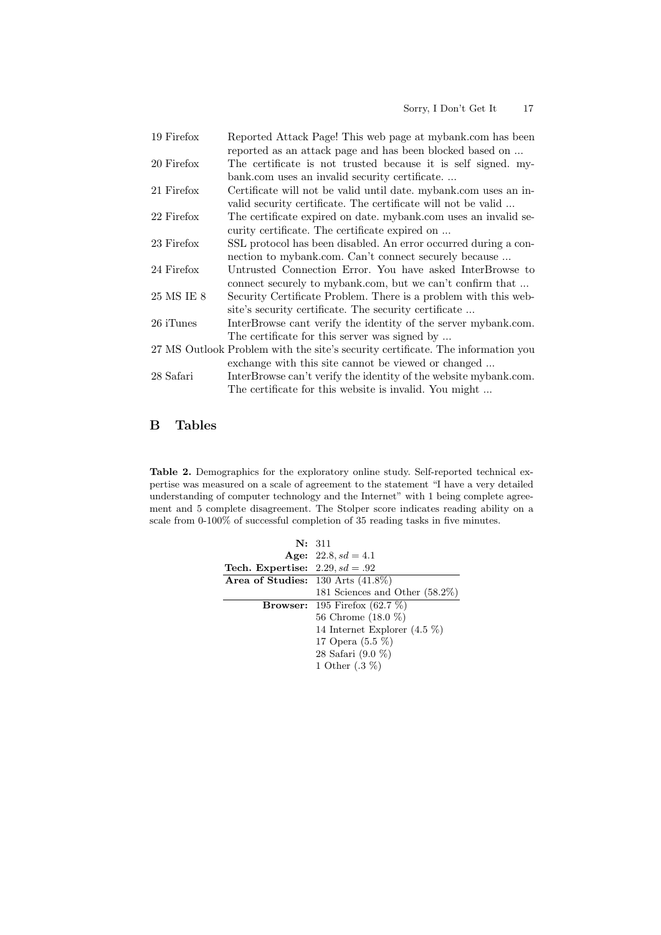| Reported Attack Page! This web page at mybank.com has been                      |
|---------------------------------------------------------------------------------|
| reported as an attack page and has been blocked based on                        |
| The certificate is not trusted because it is self signed. my-                   |
| bank.com uses an invalid security certificate                                   |
| Certificate will not be valid until date. mybank.com uses an in-                |
| valid security certificate. The certificate will not be valid                   |
| The certificate expired on date. mybank.com uses an invalid se-                 |
| curity certificate. The certificate expired on                                  |
| SSL protocol has been disabled. An error occurred during a con-                 |
| nection to mybank.com. Can't connect securely because                           |
| Untrusted Connection Error. You have asked InterBrowse to                       |
| connect securely to mybank.com, but we can't confirm that                       |
| Security Certificate Problem. There is a problem with this web-                 |
| site's security certificate. The security certificate                           |
| InterBrowse cant verify the identity of the server mybank.com.                  |
| The certificate for this server was signed by                                   |
| 27 MS Outlook Problem with the site's security certificate. The information you |
| exchange with this site cannot be viewed or changed                             |
| InterBrowse can't verify the identity of the website mybank.com.                |
| The certificate for this website is invalid. You might                          |
|                                                                                 |

# B Tables

Table 2. Demographics for the exploratory online study. Self-reported technical expertise was measured on a scale of agreement to the statement "I have a very detailed understanding of computer technology and the Internet" with 1 being complete agreement and 5 complete disagreement. The Stolper score indicates reading ability on a scale from 0-100% of successful completion of 35 reading tasks in five minutes.

|                                               | N: 311                                 |
|-----------------------------------------------|----------------------------------------|
|                                               | Age: 22.8, $sd = 4.1$                  |
| Tech. Expertise: $2.29, sd = .92$             |                                        |
| Area of Studies: $130 \text{ Arts } (41.8\%)$ |                                        |
|                                               | 181 Sciences and Other (58.2%)         |
|                                               | <b>Browser:</b> 195 Firefox $(62.7\%)$ |
|                                               | 56 Chrome (18.0 %)                     |
|                                               | 14 Internet Explorer $(4.5\%)$         |
|                                               | 17 Opera (5.5 %)                       |
|                                               | 28 Safari (9.0 %)                      |
|                                               | 1 Other $(.3\%)$                       |